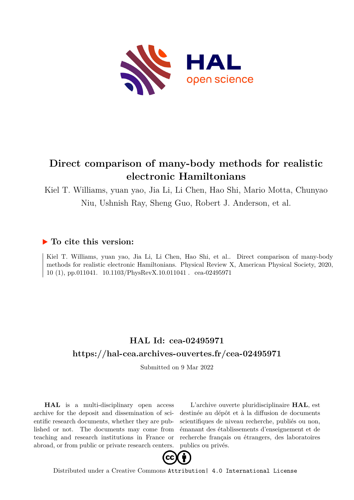

# **Direct comparison of many-body methods for realistic electronic Hamiltonians**

Kiel T. Williams, yuan yao, Jia Li, Li Chen, Hao Shi, Mario Motta, Chunyao Niu, Ushnish Ray, Sheng Guo, Robert J. Anderson, et al.

### **To cite this version:**

Kiel T. Williams, yuan yao, Jia Li, Li Chen, Hao Shi, et al.. Direct comparison of many-body methods for realistic electronic Hamiltonians. Physical Review X, American Physical Society, 2020, 10 (1), pp.011041. 10.1103/PhysRevX.10.011041 . cea-02495971

## **HAL Id: cea-02495971 <https://hal-cea.archives-ouvertes.fr/cea-02495971>**

Submitted on 9 Mar 2022

**HAL** is a multi-disciplinary open access archive for the deposit and dissemination of scientific research documents, whether they are published or not. The documents may come from teaching and research institutions in France or abroad, or from public or private research centers.

L'archive ouverte pluridisciplinaire **HAL**, est destinée au dépôt et à la diffusion de documents scientifiques de niveau recherche, publiés ou non, émanant des établissements d'enseignement et de recherche français ou étrangers, des laboratoires publics ou privés.



Distributed under a Creative Commons [Attribution| 4.0 International License](http://creativecommons.org/licenses/by/4.0/)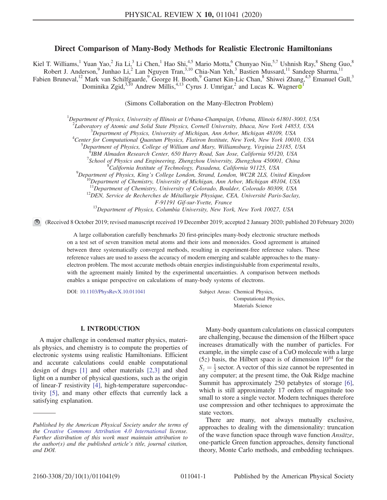#### Direct Comparison of Many-Body Methods for Realistic Electronic Hamiltonians

Kiel T. Williams,<sup>1</sup> Yuan Yao,<sup>2</sup> Jia Li,<sup>3</sup> Li Chen,<sup>1</sup> Hao Shi,<sup>4,5</sup> Mario Motta,<sup>6</sup> Chunyao Niu,<sup>5,7</sup> Ushnish Ray,<sup>8</sup> Sheng Guo,<sup>8</sup> Robert J. Anderson,<sup>9</sup> Junhao Li,<sup>2</sup> Lan Nguyen Tran,<sup>3,10</sup> Chia-Nan Yeh,<sup>3</sup> Bastien Mussard,<sup>11</sup> Sandeep Sharma,<sup>11</sup> Fabien Bruneval,<sup>12</sup> Mark van Schilfgaarde,<sup>9</sup> George H. Booth,<sup>9</sup> Garnet Kin-Lic Chan,<sup>8</sup> Shiwei Zhang,<sup>4,5</sup> Emanuel Gull,<sup>3</sup> Dominika Zgid,<sup>3,[1](https://orcid.org/0000-0002-3755-044X)0</sup> Andrew Millis,<sup>4,13</sup> Cyrus J. Umrigar,<sup>2</sup> and Lucas K. Wagner<sup>1</sup>

(Simons Collaboration on the Many-Electron Problem)

<sup>1</sup>Department of Physics, University of Illinois at Urbana-Champaign, Urbana, Illinois 61801-3003, USA

<sup>2</sup> Laboratory of Atomic and Solid State Physics, Cornell University, Ithaca, New York 14853, USA  $\frac{3}{2}$ Denortment of Physics, University of Michigan Ann Arbor, Michigan 48100, USA

 $\beta$ Department of Physics, University of Michigan, Ann Arbor, Michigan 48109, USA

<sup>4</sup>Center for Computational Quantum Physics, Flatiron Institute, New York, New York 10010, USA

 $^5$ Department of Physics, College of William and Mary, Williamsburg, Virginia 23185, USA

IBM Almaden Research Center, 650 Harry Road, San Jose, California 95120, USA <sup>7</sup>

 $^7$ School of Physics and Engineering, Zhengzhou University, Zhengzhou 450001, China

California Institute of Technology, Pasadena, California 91125, USA <sup>9</sup>

<sup>9</sup>Department of Physics, King's College London, Strand, London, WC2R 2LS, United Kingdom <sup>10</sup>Department of Chemistry, University of Michigan, Ann Arbor, Michigan 48104, USA <sup>11</sup>Department of Chemistry, University of Colo

 $^{12}$ DEN, Service de Recherches de Métallurgie Physique, CEA, Université Paris-Saclay,

F-91191 Gif-sur-Yvette, France<br><sup>13</sup>Department of Physics, Columbia University, New York, New York 10027, USA

(Received 8 October 2019; revised manuscript received 19 December 2019; accepted 2 January 2020; published 20 February 2020)

A large collaboration carefully benchmarks 20 first-principles many-body electronic structure methods on a test set of seven transition metal atoms and their ions and monoxides. Good agreement is attained between three systematically converged methods, resulting in experiment-free reference values. These reference values are used to assess the accuracy of modern emerging and scalable approaches to the manyelectron problem. The most accurate methods obtain energies indistinguishable from experimental results, with the agreement mainly limited by the experimental uncertainties. A comparison between methods enables a unique perspective on calculations of many-body systems of electrons.

DOI: [10.1103/PhysRevX.10.011041](https://doi.org/10.1103/PhysRevX.10.011041) Subject Areas: Chemical Physics,

Computational Physics, Materials Science

#### I. INTRODUCTION

A major challenge in condensed matter physics, materials physics, and chemistry is to compute the properties of electronic systems using realistic Hamiltonians. Efficient and accurate calculations could enable computational design of drugs [1] and other materials [2,3] and shed light on a number of physical questions, such as the origin of linear-T resistivity [4], high-temperature superconductivity [5], and many other effects that currently lack a satisfying explanation.

Many-body quantum calculations on classical computers are challenging, because the dimension of the Hilbert space increases dramatically with the number of particles. For example, in the simple case of a CuO molecule with a large  $(5z)$  basis, the Hilbert space is of dimension  $10^{44}$  for the  $S_z = \frac{1}{2}$  sector. A vector of this size cannot be represented in any computer; at the present time, the Oak Ridge machine Summit has approximately 250 petabytes of storage [6], which is still approximately 17 orders of magnitude too small to store a single vector. Modern techniques therefore use compression and other techniques to approximate the state vectors.

There are many, not always mutually exclusive, approaches to dealing with the dimensionality: truncation of the wave function space through wave function Ansätze, one-particle Green function approaches, density functional theory, Monte Carlo methods, and embedding techniques.

Published by the American Physical Society under the terms of the [Creative Commons Attribution 4.0 International](https://creativecommons.org/licenses/by/4.0/) license. Further distribution of this work must maintain attribution to the author(s) and the published article's title, journal citation, and DOI.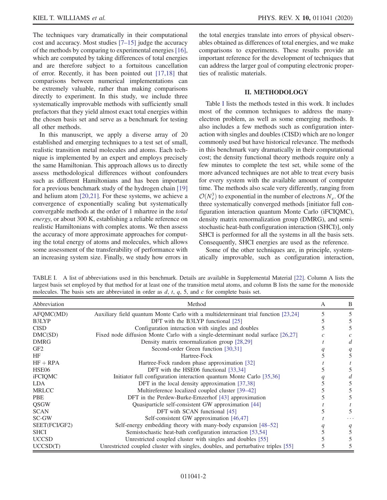The techniques vary dramatically in their computational cost and accuracy. Most studies  $[7-15]$  judge the accuracy of the methods by comparing to experimental energies [16], which are computed by taking differences of total energies and are therefore subject to a fortuitous cancellation of error. Recently, it has been pointed out [17,18] that comparisons between numerical implementations can be extremely valuable, rather than making comparisons directly to experiment. In this study, we include three systematically improvable methods with sufficiently small prefactors that they yield almost exact total energies within the chosen basis set and serve as a benchmark for testing all other methods.

In this manuscript, we apply a diverse array of 20 established and emerging techniques to a test set of small, realistic transition metal molecules and atoms. Each technique is implemented by an expert and employs precisely the same Hamiltonian. This approach allows us to directly assess methodological differences without confounders such as different Hamiltonians and has been important for a previous benchmark study of the hydrogen chain [19] and helium atom [20,21]. For these systems, we achieve a convergence of exponentially scaling but systematically convergable methods at the order of 1 mhartree in the total energy, or about 300 K, establishing a reliable reference on realistic Hamiltonians with complex atoms. We then assess the accuracy of more approximate approaches for computing the total energy of atoms and molecules, which allows some assessment of the transferability of performance with an increasing system size. Finally, we study how errors in the total energies translate into errors of physical observables obtained as differences of total energies, and we make comparisons to experiments. These results provide an important reference for the development of techniques that can address the larger goal of computing electronic properties of realistic materials.

#### II. METHODOLOGY

Table I lists the methods tested in this work. It includes most of the common techniques to address the manyelectron problem, as well as some emerging methods. It also includes a few methods such as configuration interaction with singles and doubles (CISD) which are no longer commonly used but have historical relevance. The methods in this benchmark vary dramatically in their computational cost; the density functional theory methods require only a few minutes to complete the test set, while some of the more advanced techniques are not able to treat every basis for every system with the available amount of computer time. The methods also scale very differently, ranging from  $\mathcal{O}(N_e^3)$  to exponential in the number of electrons  $N_e$ . Of the three systematically converged methods [initiator full configuration interaction quantum Monte Carlo (iFCIQMC), density matrix renormalization group (DMRG), and semistochastic heat-bath configuration interaction (SHCI)], only SHCI is performed for all the systems in all the basis sets. Consequently, SHCI energies are used as the reference.

Some of the other techniques are, in principle, systematically improvable, such as configuration interaction,

TABLE I. A list of abbreviations used in this benchmark. Details are available in Supplemental Material [22]. Column A lists the largest basis set employed by that method for at least one of the transition metal atoms, and column B lists the same for the monoxide molecules. The basis sets are abbreviated in order as  $d$ ,  $t$ ,  $q$ ,  $5$ , and  $c$  for complete basis set.

| Abbreviation    | Method                                                                             | А | B |
|-----------------|------------------------------------------------------------------------------------|---|---|
| AFQMC(MD)       | Auxiliary field quantum Monte Carlo with a multideterminant trial function [23,24] |   | 5 |
| <b>B3LYP</b>    | DFT with the B3LYP functional [25]                                                 |   | 5 |
| <b>CISD</b>     | Configuration interaction with singles and doubles                                 |   |   |
| DMC(SD)         | Fixed node diffusion Monte Carlo with a single-determinant nodal surface [26,27]   |   |   |
| <b>DMRG</b>     | Density matrix renormalization group [28,29]                                       |   |   |
| GF <sub>2</sub> | Second-order Green function [30,31]                                                |   | q |
| HF              | Hartree-Fock                                                                       |   |   |
| $HF + RPA$      | Hartree-Fock random phase approximation [32]                                       |   |   |
| HSE06           | DFT with the HSE06 functional [33,34]                                              |   |   |
| <b>iFCIQMC</b>  | Initiator full configuration interaction quantum Monte Carlo [35,36]               |   |   |
| LDA.            | DFT in the local density approximation [37,38]                                     |   |   |
| <b>MRLCC</b>    | Multireference localized coupled cluster [39–42]                                   |   |   |
| <b>PBE</b>      | DFT in the Perdew-Burke-Ernzerhof [43] approximation                               |   |   |
| <b>OSGW</b>     | Quasiparticle self-consistent GW approximation [44]                                |   |   |
| <b>SCAN</b>     | DFT with SCAN functional [45]                                                      |   |   |
| SC-GW           | Self-consistent GW approximation [46,47]                                           |   |   |
| SEET(FCI/GF2)   | Self-energy embedding theory with many-body expansion [48–52]                      |   | q |
| <b>SHCI</b>     | Semistochastic heat-bath configuration interaction [53,54]                         |   |   |
| <b>UCCSD</b>    | Unrestricted coupled cluster with singles and doubles [55]                         |   |   |
| UCCSD(T)        | Unrestricted coupled cluster with singles, doubles, and perturbative triples [55]  |   |   |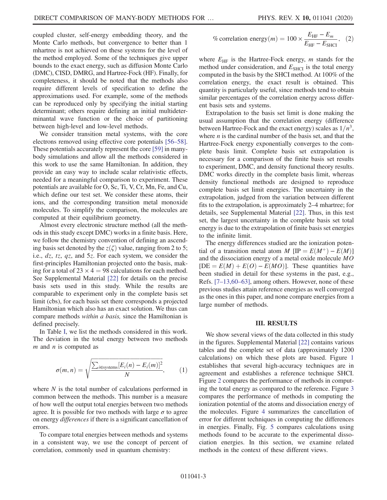coupled cluster, self-energy embedding theory, and the Monte Carlo methods, but convergence to better than 1 mhartree is not achieved on these systems for the level of the method employed. Some of the techniques give upper bounds to the exact energy, such as diffusion Monte Carlo (DMC), CISD, DMRG, and Hartree-Fock (HF). Finally, for completeness, it should be noted that the methods also require different levels of specification to define the approximations used. For example, some of the methods can be reproduced only by specifying the initial starting determinant; others require defining an initial multideterminantal wave function or the choice of partitioning between high-level and low-level methods.

We consider transition metal systems, with the core electrons removed using effective core potentials [56–58]. These potentials accurately represent the core [59] in manybody simulations and allow all the methods considered in this work to use the same Hamiltonian. In addition, they provide an easy way to include scalar relativistic effects, needed for a meaningful comparison to experiment. These potentials are available for O, Sc, Ti, V, Cr, Mn, Fe, and Cu, which define our test set. We consider these atoms, their ions, and the corresponding transition metal monoxide molecules. To simplify the comparison, the molecules are computed at their equilibrium geometry.

Almost every electronic structure method (all the methods in this study except DMC) works in a finite basis. Here, we follow the chemistry convention of defining an ascending basis set denoted by the  $z(\zeta)$  value, ranging from 2 to 5; i.e., dz, tz, qz, and 5z. For each system, we consider the first-principles Hamiltonian projected onto the basis, making for a total of  $23 \times 4 = 98$  calculations for each method. See Supplemental Material [22] for details on the precise basis sets used in this study. While the results are comparable to experiment only in the complete basis set limit (cbs), for each basis set there corresponds a projected Hamiltonian which also has an exact solution. We thus can compare methods within a basis, since the Hamiltonian is defined precisely.

In Table I, we list the methods considered in this work. The deviation in the total energy between two methods  $m$  and  $n$  is computed as

$$
\sigma(m,n) = \sqrt{\frac{\sum_{i \in systems} [E_i(n) - E_i(m)]^2}{N}}, \quad (1)
$$

where  $N$  is the total number of calculations performed in common between the methods. This number is a measure of how well the output total energies between two methods agree. It is possible for two methods with large  $\sigma$  to agree on energy differences if there is a significant cancellation of errors.

To compare total energies between methods and systems in a consistent way, we use the concept of percent of correlation, commonly used in quantum chemistry:

$$
\% \text{ correlation energy}(m) = 100 \times \frac{E_{\text{HF}} - E_m}{E_{\text{HF}} - E_{\text{SHCI}}}, \quad (2)
$$

where  $E_{HF}$  is the Hartree-Fock energy, *m* stands for the method under consideration, and  $E_{\text{SHCI}}$  is the total energy computed in the basis by the SHCI method. At 100% of the correlation energy, the exact result is obtained. This quantity is particularly useful, since methods tend to obtain similar percentages of the correlation energy across different basis sets and systems.

Extrapolation to the basis set limit is done making the usual assumption that the correlation energy (difference between Hartree-Fock and the exact energy) scales as  $1/n^3$ , where  $n$  is the cardinal number of the basis set, and that the Hartree-Fock energy exponentially converges to the complete basis limit. Complete basis set extrapolation is necessary for a comparison of the finite basis set results to experiment, DMC, and density functional theory results. DMC works directly in the complete basis limit, whereas density functional methods are designed to reproduce complete basis set limit energies. The uncertainty in the extrapolation, judged from the variation between different fits to the extrapolation, is approximately 2–4 mhartree; for details, see Supplemental Material [22]. Thus, in this test set, the largest uncertainty in the complete basis set total energy is due to the extrapolation of finite basis set energies to the infinite limit.

The energy differences studied are the ionization potential of a transition metal atom M  $[IP] = E(M^+) - E(M)$ and the dissociation energy of a metal oxide molecule MO  $[DE = E(M) + E(O) - E(MO)]$ . These quantities have been studied in detail for these systems in the past, e.g., Refs. [7–13,60–63], among others. However, none of these previous studies attain reference energies as well converged as the ones in this paper, and none compare energies from a large number of methods.

#### III. RESULTS

We show several views of the data collected in this study in the figures. Supplemental Material [22] contains various tables and the complete set of data (approximately 1200 calculations) on which these plots are based. Figure 1 establishes that several high-accuracy techniques are in agreement and establishes a reference technique SHCI. Figure 2 compares the performance of methods in computing the total energy as compared to the reference. Figure 3 compares the performance of methods in computing the ionization potential of the atoms and dissociation energy of the molecules. Figure 4 summarizes the cancellation of error for different techniques in computing the differences in energies. Finally, Fig. 5 compares calculations using methods found to be accurate to the experimental dissociation energies. In this section, we examine related methods in the context of these different views.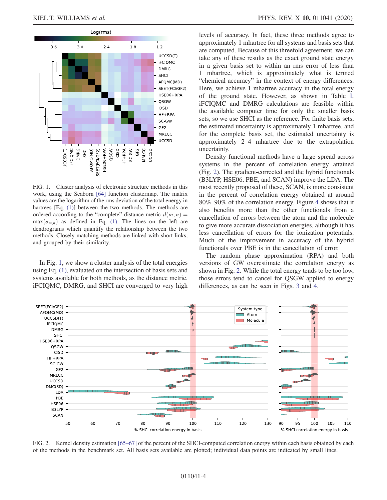

FIG. 1. Cluster analysis of electronic structure methods in this work, using the Seaborn [64] function clustermap. The matrix values are the logarithm of the rms deviation of the total energy in hartrees [Eq. (1)] between the two methods. The methods are ordered according to the "complete" distance metric  $d(m, n) =$  $max(\sigma_{m,n})$  as defined in Eq. (1). The lines on the left are dendrograms which quantify the relationship between the two methods. Closely matching methods are linked with short links, and grouped by their similarity.

In Fig. 1, we show a cluster analysis of the total energies using Eq. (1), evaluated on the intersection of basis sets and systems available for both methods, as the distance metric. iFCIQMC, DMRG, and SHCI are converged to very high levels of accuracy. In fact, these three methods agree to approximately 1 mhartree for all systems and basis sets that are computed. Because of this threefold agreement, we can take any of these results as the exact ground state energy in a given basis set to within an rms error of less than 1 mhartree, which is approximately what is termed "chemical accuracy" in the context of energy differences. Here, we achieve 1 mhartree accuracy in the total energy of the ground state. However, as shown in Table I, iFCIQMC and DMRG calculations are feasible within the available computer time for only the smaller basis sets, so we use SHCI as the reference. For finite basis sets, the estimated uncertainty is approximately 1 mhartree, and for the complete basis set, the estimated uncertainty is approximately 2–4 mhartree due to the extrapolation uncertainty.

Density functional methods have a large spread across systems in the percent of correlation energy attained (Fig. 2). The gradient-corrected and the hybrid functionals (B3LYP, HSE06, PBE, and SCAN) improve the LDA. The most recently proposed of these, SCAN, is more consistent in the percent of correlation energy obtained at around 80%–90% of the correlation energy. Figure 4 shows that it also benefits more than the other functionals from a cancellation of errors between the atom and the molecule to give more accurate dissociation energies, although it has less cancellation of errors for the ionization potentials. Much of the improvement in accuracy of the hybrid functionals over PBE is in the cancellation of error.

The random phase approximation (RPA) and both versions of GW overestimate the correlation energy as shown in Fig. 2. While the total energy tends to be too low, those errors tend to cancel for QSGW applied to energy differences, as can be seen in Figs. 3 and 4.



FIG. 2. Kernel density estimation [65–67] of the percent of the SHCI-computed correlation energy within each basis obtained by each of the methods in the benchmark set. All basis sets available are plotted; individual data points are indicated by small lines.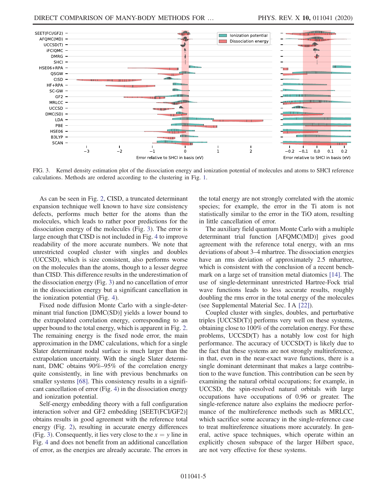

FIG. 3. Kernel density estimation plot of the dissociation energy and ionization potential of molecules and atoms to SHCI reference calculations. Methods are ordered according to the clustering in Fig. 1.

As can be seen in Fig. 2, CISD, a truncated determinant expansion technique well known to have size consistency defects, performs much better for the atoms than the molecules, which leads to rather poor predictions for the dissociation energy of the molecules (Fig. 3). The error is large enough that CISD is not included in Fig. 4 to improve readability of the more accurate numbers. We note that unrestricted coupled cluster with singles and doubles (UCCSD), which is size consistent, also performs worse on the molecules than the atoms, though to a lesser degree than CISD. This difference results in the underestimation of the dissociation energy (Fig. 3) and no cancellation of error in the dissociation energy but a significant cancellation in the ionization potential (Fig. 4).

Fixed node diffusion Monte Carlo with a single-determinant trial function [DMC(SD)] yields a lower bound to the extrapolated correlation energy, corresponding to an upper bound to the total energy, which is apparent in Fig. 2. The remaining energy is the fixed node error, the main approximation in the DMC calculations, which for a single Slater determinant nodal surface is much larger than the extrapolation uncertainty. With the single Slater determinant, DMC obtains 90%–95% of the correlation energy quite consistently, in line with previous benchmarks on smaller systems [68]. This consistency results in a significant cancellation of error (Fig. 4) in the dissociation energy and ionization potential.

Self-energy embedding theory with a full configuration interaction solver and GF2 embedding [SEET(FCI/GF2)] obtains results in good agreement with the reference total energy (Fig. 2), resulting in accurate energy differences (Fig. 3). Consequently, it lies very close to the  $x = y$  line in Fig. 4 and does not benefit from an additional cancellation of error, as the energies are already accurate. The errors in the total energy are not strongly correlated with the atomic species; for example, the error in the Ti atom is not statistically similar to the error in the TiO atom, resulting in little cancellation of error.

The auxiliary field quantum Monte Carlo with a multiple determinant trial function [AFQMC(MD)] gives good agreement with the reference total energy, with an rms deviations of about 3–4 mhartree. The dissociation energies have an rms deviation of approximately 2.5 mhartree, which is consistent with the conclusion of a recent benchmark on a large set of transition metal diatomics [14]. The use of single-determinant unrestricted Hartree-Fock trial wave functions leads to less accurate results, roughly doubling the rms error in the total energy of the molecules (see Supplemental Material Sec. I A [22]).

Coupled cluster with singles, doubles, and perturbative triples [UCCSD(T)] performs very well on these systems, obtaining close to 100% of the correlation energy. For these problems, UCCSD(T) has a notably low cost for high performance. The accuracy of UCCSD(T) is likely due to the fact that these systems are not strongly multireference, in that, even in the near-exact wave functions, there is a single dominant determinant that makes a large contribution to the wave function. This contribution can be seen by examining the natural orbital occupations; for example, in UCCSD, the spin-resolved natural orbitals with large occupations have occupations of 0.96 or greater. The single-reference nature also explains the mediocre performance of the multireference methods such as MRLCC, which sacrifice some accuracy in the single-reference case to treat multireference situations more accurately. In general, active space techniques, which operate within an explicitly chosen subspace of the larger Hilbert space, are not very effective for these systems.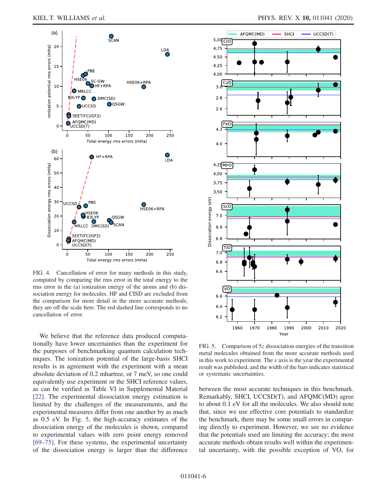

FIG. 4. Cancellation of error for many methods in this study, computed by comparing the rms error in the total energy to the rms error in the (a) ionization energy of the atoms and (b) dissociation energy for molecules. HF and CISD are excluded from the comparison for more detail in the more accurate methods; they are off the scale here. The red dashed line corresponds to no cancellation of error.

We believe that the reference data produced computationally have lower uncertainties than the experiment for the purposes of benchmarking quantum calculation techniques. The ionization potential of the large-basis SHCI results is in agreement with the experiment with a mean absolute deviation of 0.2 mhartree, or 7 meV, so one could equivalently use experiment or the SHCI reference values, as can be verified in Table VI in Supplemental Material [22]. The experimental dissociation energy estimation is limited by the challenges of the measurements, and the experimental measures differ from one another by as much as 0.5 eV. In Fig. 5, the high-accuracy estimates of the dissociation energy of the molecules is shown, compared to experimental values with zero point energy removed [69–75]. For these systems, the experimental uncertainty of the dissociation energy is larger than the difference



FIG. 5. Comparison of  $5z$  dissociation energies of the transition metal molecules obtained from the more accurate methods used in this work to experiment. The  $x$  axis is the year the experimental result was published, and the width of the bars indicates statistical or systematic uncertainties.

between the most accurate techniques in this benchmark. Remarkably, SHCI, UCCSD(T), and AFQMC(MD) agree to about 0.1 eV for all the molecules. We also should note that, since we use effective core potentials to standardize the benchmark, there may be some small errors in comparing directly to experiment. However, we see no evidence that the potentials used are limiting the accuracy; the most accurate methods obtain results well within the experimental uncertainty, with the possible exception of VO, for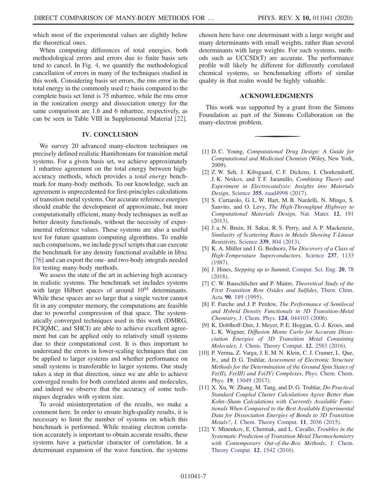which most of the experimental values are slightly below the theoretical ones.

When computing differences of total energies, both methodological errors and errors due to finite basis sets tend to cancel. In Fig. 4, we quantify the methodological cancellation of errors in many of the techniques studied in this work. Considering basis set errors, the rms error in the total energy in the commonly used  $tz$  basis compared to the complete basis set limit is 75 mhartree, while the rms error in the ionization energy and dissociation energy for the same comparison are 1.6 and 6 mhartree, respectively, as can be seen in Table VIII in Supplemental Material [22].

#### IV. CONCLUSION

We survey 20 advanced many-electron techniques on precisely defined realistic Hamiltonians for transition metal systems. For a given basis set, we achieve approximately 1 mhartree agreement on the total energy between highaccuracy methods, which provides a total energy benchmark for many-body methods. To our knowledge, such an agreement is unprecedented for first-principles calculations of transition metal systems. Our accurate reference energies should enable the development of approximate, but more computationally efficient, many-body techniques as well as better density functionals, without the necessity of experimental reference values. These systems are also a useful test for future quantum computing algorithms. To enable such comparisons, we include pyscf scripts that can execute the benchmark for any density functional available in libxc [76] and can export the one- and two-body integrals needed for testing many-body methods.

We assess the state of the art in achieving high accuracy in realistic systems. The benchmark set includes systems with large Hilbert spaces of around  $10^{44}$  determinants. While these spaces are so large that a single vector cannot fit in any computer memory, the computations are feasible due to powerful compression of that space. The systematically converged techniques used in this work (DMRG, FCIQMC, and SHCI) are able to achieve excellent agreement but can be applied only to relatively small systems due to their computational cost. It is thus important to understand the errors in lower-scaling techniques that can be applied to larger systems and whether performance on small systems is transferable to larger systems. Our study takes a step in that direction, since we are able to achieve converged results for both correlated atoms and molecules, and indeed we observe that the accuracy of some techniques degrades with system size.

To avoid misinterpretation of the results, we make a comment here. In order to ensure high-quality results, it is necessary to limit the number of systems on which this benchmark is performed. While treating electron correlation accurately is important to obtain accurate results, these systems have a particular character of correlation. In a determinant expansion of the wave function, the systems chosen here have one determinant with a large weight and many determinants with small weights, rather than several determinants with large weights. For such systems, methods such as UCCSD(T) are accurate. The performance profile will likely be different for differently correlated chemical systems, so benchmarking efforts of similar quality in that realm would be highly valuable.

#### ACKNOWLEDGMENTS

This work was supported by a grant from the Simons Foundation as part of the Simons Collaboration on the many-electron problem.

- [1] D. C. Young, *Computational Drug Design: A Guide for* Computational and Medicinal Chemists (Wiley, New York, 2009).
- [2] Z. W. Seh, J. Kibsgaard, C. F. Dickens, I. Chorkendorff, J. K. Nrskov, and T. F. Jaramillo, Combining Theory and Experiment in Electrocatalysis: Insights into Materials Design, Science 355[, eaad4998 \(2017\)](https://doi.org/10.1126/science.aad4998).
- [3] S. Curtarolo, G. L. W. Hart, M. B. Nardelli, N. Mingo, S. Sanvito, and O. Levy, The High-Throughput Highway to Computational Materials Design, [Nat. Mater.](https://doi.org/10.1038/nmat3568) 12, 191 [\(2013\).](https://doi.org/10.1038/nmat3568)
- [4] J. a. N. Bruin, H. Sakai, R. S. Perry, and A. P. Mackenzie, Similarity of Scattering Rates in Metals Showing T-Linear Resistivity, Science 339[, 804 \(2013\).](https://doi.org/10.1126/science.1227612)
- [5] K. A. Müller and J. G. Bednorz, The Discovery of a Class of High-Temperature Superconductors, [Science](https://doi.org/10.1126/science.237.4819.1133) 237, 1133 [\(1987\).](https://doi.org/10.1126/science.237.4819.1133)
- [6] J. Hines, Stepping up to Summit, [Comput. Sci. Eng.](https://doi.org/10.1109/MCSE.2018.021651341) 20, 78 [\(2018\).](https://doi.org/10.1109/MCSE.2018.021651341)
- [7] C. W. Bauschlicher and P. Maitre, *Theoretical Study of the* First Transition Row Oxides and Sulfides, [Theor. Chim.](https://doi.org/10.1007/BF01113847) Acta 90[, 189 \(1995\).](https://doi.org/10.1007/BF01113847)
- [8] F. Furche and J. P. Perdew, The Performance of Semilocal and Hybrid Density Functionals in 3D Transition-Metal Chemistry, J. Chem. Phys. 124[, 044103 \(2006\)](https://doi.org/10.1063/1.2162161).
- [9] K. Doblhoff-Dier, J. Meyer, P. E. Hoggan, G.-J. Kroes, and L. K. Wagner, Diffusion Monte Carlo for Accurate Dissociation Energies of 3D Transition Metal Containing Molecules, [J. Chem. Theory Comput.](https://doi.org/10.1021/acs.jctc.6b00160) 12, 2583 (2016).
- [10] P. Verma, Z. Varga, J. E. M. N. Klein, C. J. Cramer, L. Que, Jr., and D. G. Truhlar, Assessment of Electronic Structure Methods for the Determination of the Ground Spin States of Fe(II), Fe(III) and Fe(IV) Complexes, [Phys. Chem. Chem.](https://doi.org/10.1039/C7CP01263B) Phys. 19[, 13049 \(2017\)](https://doi.org/10.1039/C7CP01263B).
- [11] X. Xu, W. Zhang, M. Tang, and D. G. Truhlar, Do Practical Standard Coupled Cluster Calculations Agree Better than Kohn–Sham Calculations with Currently Available Functionals When Compared to the Best Available Experimental Data for Dissociation Energies of Bonds to 3D Transition Metals?, [J. Chem. Theory Comput.](https://doi.org/10.1021/acs.jctc.5b00081) 11, 2036 (2015).
- [12] Y. Minenkov, E. Chermak, and L. Cavallo, Troubles in the Systematic Prediction of Transition Metal Thermochemistry with Contemporary Out-of-the-Box Methods, [J. Chem.](https://doi.org/10.1021/acs.jctc.5b01163) [Theory Comput.](https://doi.org/10.1021/acs.jctc.5b01163) 12, 1542 (2016).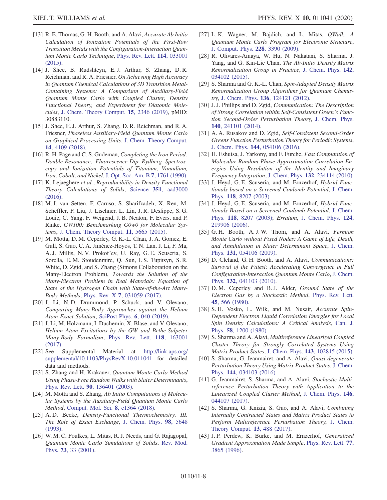- [13] R. E. Thomas, G. H. Booth, and A. Alavi, Accurate Ab Initio Calculation of Ionization Potentials of the First-Row Transition Metals with the Configuration-Interaction Quan-tum Monte Carlo Technique, [Phys. Rev. Lett.](https://doi.org/10.1103/PhysRevLett.114.033001) 114, 033001 [\(2015\).](https://doi.org/10.1103/PhysRevLett.114.033001)
- [14] J. Shee, B. Rudshteyn, E.J. Arthur, S. Zhang, D.R. Reichman, and R. A. Friesner, On Achieving High Accuracy in Quantum Chemical Calculations of 3D Transition Metal-Containing Systems: A Comparison of Auxiliary-Field Quantum Monte Carlo with Coupled Cluster, Density Functional Theory, and Experiment for Diatomic Molecules, [J. Chem. Theory Comput.](https://doi.org/10.1021/acs.jctc.9b00083) 15, 2346 (2019), pMID: 30883110.
- [15] J. Shee, E. J. Arthur, S. Zhang, D. R. Reichman, and R. A. Friesner, Phaseless Auxiliary-Field Quantum Monte Carlo on Graphical Processing Units, [J. Chem. Theory Comput.](https://doi.org/10.1021/acs.jctc.8b00342) 14[, 4109 \(2018\)](https://doi.org/10.1021/acs.jctc.8b00342).
- [16] R. H. Page and C. S. Gudeman, Completing the Iron Period: Double-Resonance, Fluorescence-Dip Rydberg Spectroscopy and Ionization Potentials of Titanium, Vanadium, Iron, Cobalt, and Nickel, [J. Opt. Soc. Am. B](https://doi.org/10.1364/JOSAB.7.001761) 7, 1761 (1990).
- [17] K. Lejaeghere et al., Reproducibility in Density Functional Theory Calculations of Solids, Science 351[, aad3000](https://doi.org/10.1126/science.aad3000) [\(2016\).](https://doi.org/10.1126/science.aad3000)
- [18] M. J. van Setten, F. Caruso, S. Sharifzadeh, X. Ren, M. Scheffler, F. Liu, J. Lischner, L. Lin, J. R. Deslippe, S. G. Louie, C. Yang, F. Weigend, J. B. Neaton, F. Evers, and P. Rinke, GW100: Benchmarking G0w0 for Molecular Systems, [J. Chem. Theory Comput.](https://doi.org/10.1021/acs.jctc.5b00453) 11, 5665 (2015).
- [19] M. Motta, D. M. Ceperley, G. K.-L. Chan, J. A. Gomez, E. Gull, S. Guo, C. A. Jiménez-Hoyos, T. N. Lan, J. Li, F. Ma, A. J. Millis, N. V. Prokof'ev, U. Ray, G. E. Scuseria, S. Sorella, E. M. Stoudenmire, Q. Sun, I. S. Tupitsyn, S. R. White, D. Zgid, and S. Zhang (Simons Collaboration on the Many-Electron Problem), Towards the Solution of the Many-Electron Problem in Real Materials: Equation of State of the Hydrogen Chain with State-of-the-Art Many-Body Methods, Phys. Rev. X 7[, 031059 \(2017\).](https://doi.org/10.1103/PhysRevX.7.031059)
- [20] J. Li, N. D. Drummond, P. Schuck, and V. Olevano, Comparing Many-Body Approaches against the Helium Atom Exact Solution, [SciPost Phys.](https://doi.org/10.21468/SciPostPhys.6.4.040) 6, 040 (2019).
- [21] J. Li, M. Holzmann, I. Duchemin, X. Blase, and V. Olevano, Helium Atom Excitations by the GW and Bethe-Salpeter Many-Body Formalism, [Phys. Rev. Lett.](https://doi.org/10.1103/PhysRevLett.118.163001) 118, 163001 [\(2017\).](https://doi.org/10.1103/PhysRevLett.118.163001)
- [22] See Supplemental Material at [http://link.aps.org/](http://link.aps.org/supplemental/10.1103/PhysRevX.10.011041) [supplemental/10.1103/PhysRevX.10.011041](http://link.aps.org/supplemental/10.1103/PhysRevX.10.011041) for detailed data and methods.
- [23] S. Zhang and H. Krakauer, Quantum Monte Carlo Method Using Phase-Free Random Walks with Slater Determinants, Phys. Rev. Lett. 90[, 136401 \(2003\)](https://doi.org/10.1103/PhysRevLett.90.136401).
- [24] M. Motta and S. Zhang, Ab Initio Computations of Molecular Systems by the Auxiliary-Field Quantum Monte Carlo Method, [Comput. Mol. Sci.](https://doi.org/10.1002/wcms.1364) 8, e1364 (2018).
- [25] A.D. Becke, *Density-Functional Thermochemistry. III.* The Role of Exact Exchange, [J. Chem. Phys.](https://doi.org/10.1063/1.464913) 98, 5648 [\(1993\).](https://doi.org/10.1063/1.464913)
- [26] W. M. C. Foulkes, L. Mitas, R. J. Needs, and G. Rajagopal, Quantum Monte Carlo Simulations of Solids, [Rev. Mod.](https://doi.org/10.1103/RevModPhys.73.33) Phys. 73[, 33 \(2001\)](https://doi.org/10.1103/RevModPhys.73.33).
- [27] L. K. Wagner, M. Bajdich, and L. Mitas, QWalk: A Quantum Monte Carlo Program for Electronic Structure, [J. Comput. Phys.](https://doi.org/10.1016/j.jcp.2009.01.017) 228, 3390 (2009).
- [28] R. Olivares-Amaya, W. Hu, N. Nakatani, S. Sharma, J. Yang, and G. Kin-Lic Chan, The Ab-Initio Density Matrix Renormalization Group in Practice, [J. Chem. Phys.](https://doi.org/10.1063/1.4905329) 142, [034102 \(2015\).](https://doi.org/10.1063/1.4905329)
- [29] S. Sharma and G. K.-L. Chan, Spin-Adapted Density Matrix Renormalization Group Algorithms for Quantum Chemistry, J. Chem. Phys. 136[, 124121 \(2012\)](https://doi.org/10.1063/1.3695642).
- [30] J. J. Phillips and D. Zgid, Communication: The Description of Strong Correlation within Self-Consistent Green's Function Second-Order Perturbation Theory, [J. Chem. Phys.](https://doi.org/10.1063/1.4884951) 140[, 241101 \(2014\).](https://doi.org/10.1063/1.4884951)
- [31] A. A. Rusakov and D. Zgid, Self-Consistent Second-Order Greens Function Perturbation Theory for Periodic Systems, J. Chem. Phys. 144[, 054106 \(2016\)](https://doi.org/10.1063/1.4940900).
- [32] H. Eshuisa, J. Yarkony, and F. Furche, Fast Computation of Molecular Random Phase Approximation Correlation Energies Using Resolution of the Identity and Imaginary Frequency Integration, J. Chem. Phys. 132[, 234114 \(2010\).](https://doi.org/10.1063/1.3442749)
- [33] J. Heyd, G. E. Scuseria, and M. Ernzerhof, *Hybrid Func*tionals based on a Screened Coulomb Potential, [J. Chem.](https://doi.org/10.1063/1.1564060) Phys. 118[, 8207 \(2003\)](https://doi.org/10.1063/1.1564060).
- [34] J. Heyd, G. E. Scuseria, and M. Ernzerhof, *Hybrid Func*tionals Based on a Screened Coulomb Potential, [J. Chem.](https://doi.org/10.1063/1.1564060) Phys. 118[, 8207 \(2003\);](https://doi.org/10.1063/1.1564060) Erratum, [J. Chem. Phys.](https://doi.org/10.1063/1.2204597) 124, [219906 \(2006\).](https://doi.org/10.1063/1.2204597)
- [35] G.H. Booth, A.J.W. Thom, and A. Alavi, Fermion Monte Carlo without Fixed Nodes: A Game of Life, Death, and Annihilation in Slater Determinant Space, [J. Chem.](https://doi.org/10.1063/1.3193710) Phys. 131[, 054106 \(2009\).](https://doi.org/10.1063/1.3193710)
- [36] D. Cleland, G. H. Booth, and A. Alavi, Communications: Survival of the Fittest: Accelerating Convergence in Full Configuration-Interaction Quantum Monte Carlo, [J. Chem.](https://doi.org/10.1063/1.3302277) Phys. 132[, 041103 \(2010\).](https://doi.org/10.1063/1.3302277)
- [37] D. M. Ceperley and B. J. Alder, Ground State of the Electron Gas by a Stochastic Method, [Phys. Rev. Lett.](https://doi.org/10.1103/PhysRevLett.45.566) 45[, 566 \(1980\).](https://doi.org/10.1103/PhysRevLett.45.566)
- [38] S.H. Vosko, L. Wilk, and M. Nusair, Accurate Spin-Dependent Electron Liquid Correlation Energies for Local Spin Density Calculations: A Critical Analysis, [Can. J.](https://doi.org/10.1139/p80-159) Phys. 58[, 1200 \(1980\).](https://doi.org/10.1139/p80-159)
- [39] S. Sharma and A. Alavi, *Multireference Linearized Coupled* Cluster Theory for Strongly Correlated Systems Using Matrix Product States, J. Chem. Phys. 143[, 102815 \(2015\).](https://doi.org/10.1063/1.4928643)
- [40] S. Sharma, G. Jeanmairet, and A. Alavi, *Quasi-degenerate* Perturbation Theory Using Matrix Product States, [J. Chem.](https://doi.org/10.1063/1.4939752) Phys. 144[, 034103 \(2016\).](https://doi.org/10.1063/1.4939752)
- [41] G. Jeanmairet, S. Sharma, and A. Alavi, Stochastic Multireference Perturbation Theory with Application to the Linearized Coupled Cluster Method, [J. Chem. Phys.](https://doi.org/10.1063/1.4974177) 146, [044107 \(2017\).](https://doi.org/10.1063/1.4974177)
- [42] S. Sharma, G. Knizia, S. Guo, and A. Alavi, Combining Internally Contracted States and Matrix Product States to Perform Multireference Perturbation Theory, [J. Chem.](https://doi.org/10.1021/acs.jctc.6b00898) [Theory Comput.](https://doi.org/10.1021/acs.jctc.6b00898) 13, 488 (2017).
- [43] J. P. Perdew, K. Burke, and M. Ernzerhof, Generalized Gradient Approximation Made Simple, [Phys. Rev. Lett.](https://doi.org/10.1103/PhysRevLett.77.3865) 77, [3865 \(1996\)](https://doi.org/10.1103/PhysRevLett.77.3865).